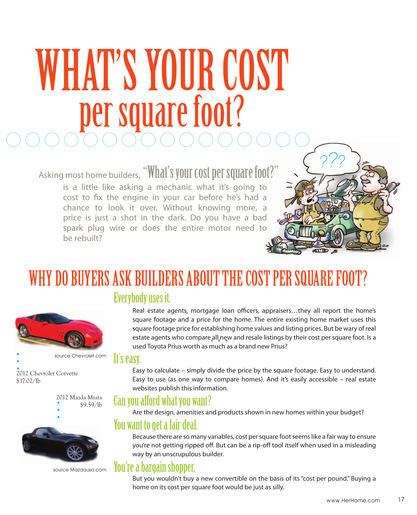## WHAT'S YOUR COST per square foot?

Asking most home builders, "What's your cost per square foot?"

is a little like asking a mechanic what it's going to cost to fix the engine in your car before he's had a chance to look it over. Without knowing more, a price is just a shot in the dark. Do you have a bad spark plug wire or does the entire motor need to be rebuilt?



### WHY DO BUYERS ASK BUILDERS ABOUT THE COST PER SQUARE FOOT?

#### Everybody uses it.

Real estate agents, mortgage loan officers, appraisers…they all report the home's square footage and a price for the home. The entire existing home market uses this square footage price for establishing home values and listing prices. But be wary of real estate agents who compare all new and resale listings by their cost per square foot. Is a used Toyota Prius worth as much as a brand new Prius?

#### It's easy.

Easy to calculate – simply divide the price by the square footage. Easy to understand. Easy to use (as one way to compare homes). And it's easily accessible – real estate websites publish this information.

#### Can you afford what you want?

Are the design, amenities and products shown in new homes within your budget?

#### You want to get a fair deal.

Because there are so many variables, cost per square foot seems like a fair way to ensure you're not getting ripped off. But can be a rip-off tool itself when used in a misleading way by an unscrupulous builder.

#### You're a bargain shopper.

But you wouldn't buy a new convertible on the basis of its "cost per pound." Buying a home on its cost per square foot would be just as silly.



source Chevrolet.com

2012 Chevrolet Corvette \$17.02/lb





source Mazdausa.com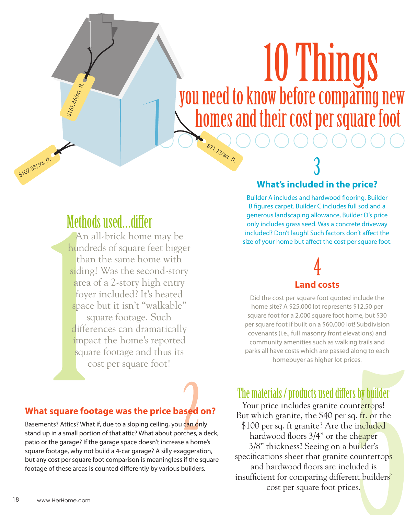# \$71.73/sq. ft. 10 Things you need to know before comparing new homes and their cost per square foot

#### Methods used…differ

\$161.46/sq. ft.

\$107.33/sq. ft.

An all-brick home may be hundreds of square feet bigger than the same home with siding! Was the second-story area of a 2-story high entry foyer included? It's heated space but it isn't "walkable" square footage. Such differences can dramatically impact the home's reported square footage and thus its cost per square foot!

#### 3 **What's included in the price?**

Builder A includes and hardwood flooring, Builder B figures carpet. Builder C includes full sod and a generous landscaping allowance, Builder D's price only includes grass seed. Was a concrete driveway included? Don't laugh! Such factors don't affect the size of your home but affect the cost per square foot.

#### 4 **Land costs**

Did the cost per square foot quoted include the home site? A \$25,000 lot represents \$12.50 per square foot for a 2,000 square foot home, but \$30 per square foot if built on a \$60,000 lot! Subdivision covenants (i.e., full masonry front elevations) and community amenities such as walking trails and parks all have costs which are passed along to each homebuyer as higher lot prices.

#### **What square footage was the price based on?**

Basements? Attics? What if, due to a sloping ceiling, you can only stand up in a small portion of that attic? What about porches, a deck, patio or the garage? If the garage space doesn't increase a home's square footage, why not build a 4-car garage? A silly exaggeration, but any cost per square foot comparison is meaningless if the square footage of these areas is counted differently by various builders.

The materials / products used differs by builder

Your price includes granite countertops! But which granite, the \$40 per sq. ft. or the \$100 per sq. ft granite? Are the included hardwood floors 3/4" or the cheaper 3/8" thickness? Seeing on a builder's specifications sheet that granite countertops and hardwood floors are included is insufficient for comparing different builders' cost per square foot prices.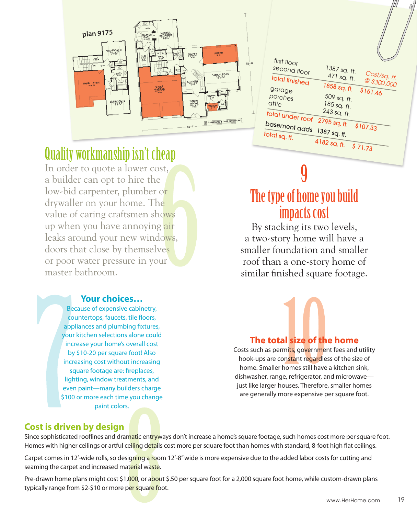

| first floor<br>second floor | 1387 sq. ft.                               |
|-----------------------------|--------------------------------------------|
| total finished              | Cost/sq. ft.<br>471 sq. ft.<br>@ \$300,000 |
| garage                      | 1858 sq. ft.<br>\$161.46                   |
| porches                     | 509 sq. ft.                                |
| attic                       | 185 sq. ft.                                |
| total under roof            | 243 sq. ft.                                |
| basement adds               | 2795 sq. ft.<br>\$107.33                   |
| total sq. ft.               | 1387 sq. ft.                               |
|                             | 4182 sq. ft.<br>\$71.73                    |
|                             |                                            |

#### Quality workmanship isn't cheap

In order to quote a lower cost, a builder can opt to hire the low-bid carpenter, plumber or drywaller on your home. The value of caring craftsmen shows up when you have annoying air leaks around your new windows, doors that close by themselves or poor water pressure in your master bathroom.

#### **Your choices…**

Because of expensive cabinetry, countertops, faucets, tile floors, appliances and plumbing fixtures, your kitchen selections alone could increase your home's overall cost by \$10-20 per square foot! Also increasing cost without increasing square footage are: fireplaces, lighting, window treatments, and even paint—many builders charge \$100 or more each time you change paint colors.

#### 9 The type of home you build impacts cost

By stacking its two levels, a two-story home will have a smaller foundation and smaller roof than a one-story home of similar finished square footage.



#### **The total size of the home**

Costs such as permits, government fees and utility hook-ups are constant regardless of the size of home. Smaller homes still have a kitchen sink, dishwasher, range, refrigerator, and microwave just like larger houses. Therefore, smaller homes are generally more expensive per square foot.

#### **Cost is driven by design**

Since sophisticated rooflines and dramatic entryways don't increase a home's square footage, such homes cost more per square foot. Homes with higher ceilings or artful ceiling details cost more per square foot than homes with standard, 8-foot high flat ceilings.

Carpet comes in 12'-wide rolls, so designing a room 12'-8" wide is more expensive due to the added labor costs for cutting and seaming the carpet and increased material waste.

Pre-drawn home plans might cost \$1,000, or about \$.50 per square foot for a 2,000 square foot home, while custom-drawn plans typically range from \$2-\$10 or more per square foot.